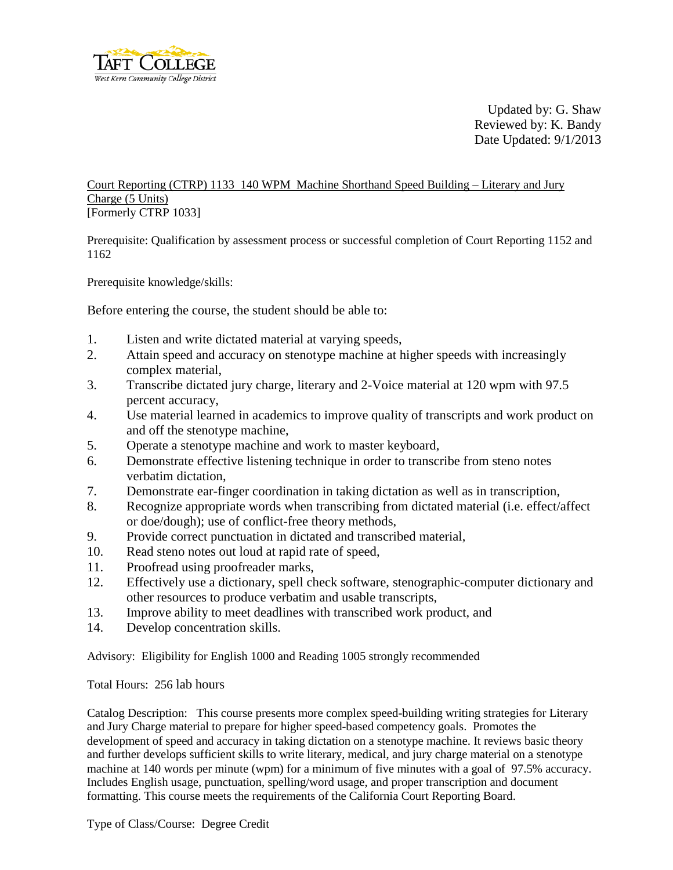

Updated by: G. Shaw Reviewed by: K. Bandy Date Updated: 9/1/2013

Court Reporting (CTRP) 1133 140 WPM Machine Shorthand Speed Building – Literary and Jury Charge (5 Units) [Formerly CTRP 1033]

Prerequisite: Qualification by assessment process or successful completion of Court Reporting 1152 and 1162

Prerequisite knowledge/skills:

Before entering the course, the student should be able to:

- 1. Listen and write dictated material at varying speeds,
- 2. Attain speed and accuracy on stenotype machine at higher speeds with increasingly complex material,
- 3. Transcribe dictated jury charge, literary and 2-Voice material at 120 wpm with 97.5 percent accuracy,
- 4. Use material learned in academics to improve quality of transcripts and work product on and off the stenotype machine,
- 5. Operate a stenotype machine and work to master keyboard,
- 6. Demonstrate effective listening technique in order to transcribe from steno notes verbatim dictation,
- 7. Demonstrate ear-finger coordination in taking dictation as well as in transcription,
- 8. Recognize appropriate words when transcribing from dictated material (i.e. effect/affect or doe/dough); use of conflict-free theory methods,
- 9. Provide correct punctuation in dictated and transcribed material,
- 10. Read steno notes out loud at rapid rate of speed,
- 11. Proofread using proofreader marks,
- 12. Effectively use a dictionary, spell check software, stenographic-computer dictionary and other resources to produce verbatim and usable transcripts,
- 13. Improve ability to meet deadlines with transcribed work product, and
- 14. Develop concentration skills.

Advisory: Eligibility for English 1000 and Reading 1005 strongly recommended

Total Hours: 256 lab hours

Catalog Description: This course presents more complex speed-building writing strategies for Literary and Jury Charge material to prepare for higher speed-based competency goals. Promotes the development of speed and accuracy in taking dictation on a stenotype machine. It reviews basic theory and further develops sufficient skills to write literary, medical, and jury charge material on a stenotype machine at 140 words per minute (wpm) for a minimum of five minutes with a goal of 97.5% accuracy. Includes English usage, punctuation, spelling/word usage, and proper transcription and document formatting. This course meets the requirements of the California Court Reporting Board.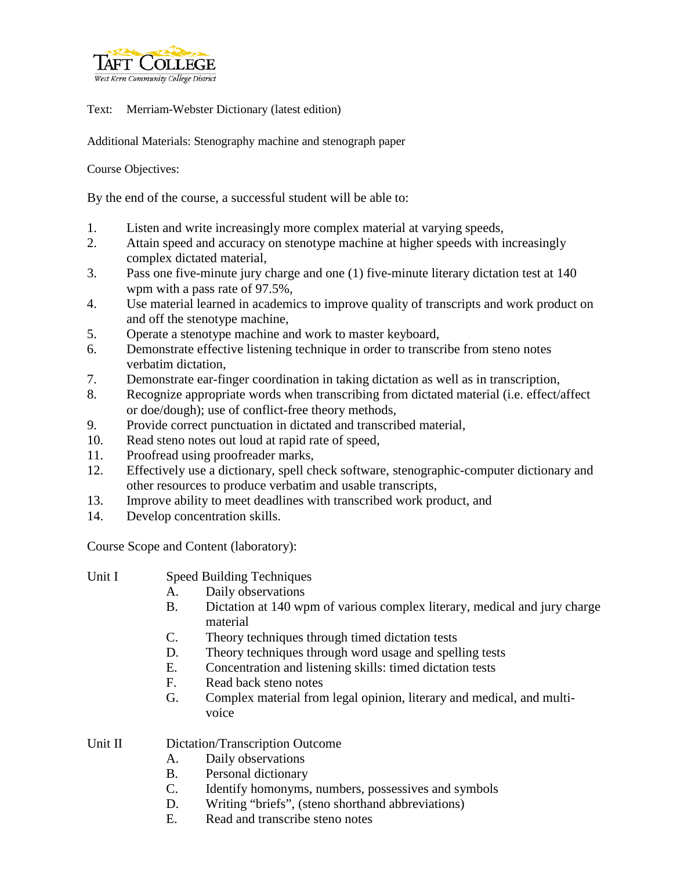

Text: Merriam-Webster Dictionary (latest edition)

Additional Materials: Stenography machine and stenograph paper

Course Objectives:

By the end of the course, a successful student will be able to:

- 1. Listen and write increasingly more complex material at varying speeds,
- 2. Attain speed and accuracy on stenotype machine at higher speeds with increasingly complex dictated material,
- 3. Pass one five-minute jury charge and one (1) five-minute literary dictation test at 140 wpm with a pass rate of 97.5%,
- 4. Use material learned in academics to improve quality of transcripts and work product on and off the stenotype machine,
- 5. Operate a stenotype machine and work to master keyboard,
- 6. Demonstrate effective listening technique in order to transcribe from steno notes verbatim dictation,
- 7. Demonstrate ear-finger coordination in taking dictation as well as in transcription,
- 8. Recognize appropriate words when transcribing from dictated material (i.e. effect/affect or doe/dough); use of conflict-free theory methods,
- 9. Provide correct punctuation in dictated and transcribed material,
- 10. Read steno notes out loud at rapid rate of speed,
- 11. Proofread using proofreader marks,
- 12. Effectively use a dictionary, spell check software, stenographic-computer dictionary and other resources to produce verbatim and usable transcripts,
- 13. Improve ability to meet deadlines with transcribed work product, and
- 14. Develop concentration skills.

Course Scope and Content (laboratory):

- Unit I Speed Building Techniques
	- A. Daily observations
	- B. Dictation at 140 wpm of various complex literary, medical and jury charge material
	- C. Theory techniques through timed dictation tests
	- D. Theory techniques through word usage and spelling tests
	- E. Concentration and listening skills: timed dictation tests
	- F. Read back steno notes
	- G. Complex material from legal opinion, literary and medical, and multivoice

Unit II Dictation/Transcription Outcome

- A. Daily observations
- B. Personal dictionary
- C. Identify homonyms, numbers, possessives and symbols
- D. Writing "briefs", (steno shorthand abbreviations)
- E. Read and transcribe steno notes